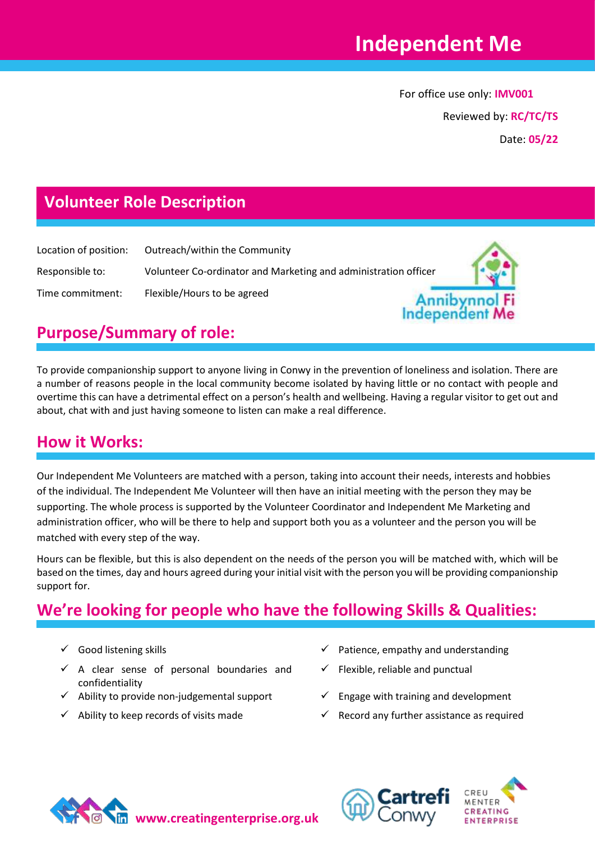Independer

For office use only: **IMV001**

Reviewed by: **RC/TC/TS**

Date: **05/22**

### **Volunteer Role Description**

| Location of position: | Outreach/within the Community                                   |  |
|-----------------------|-----------------------------------------------------------------|--|
| Responsible to:       | Volunteer Co-ordinator and Marketing and administration officer |  |
| Time commitment:      | Flexible/Hours to be agreed                                     |  |

# **Purpose/Summary of role:**

To provide companionship support to anyone living in Conwy in the prevention of loneliness and isolation. There are a number of reasons people in the local community become isolated by having little or no contact with people and overtime this can have a detrimental effect on a person's health and wellbeing. Having a regular visitor to get out and about, chat with and just having someone to listen can make a real difference.

#### **How it Works:**

Our Independent Me Volunteers are matched with a person, taking into account their needs, interests and hobbies of the individual. The Independent Me Volunteer will then have an initial meeting with the person they may be supporting. The whole process is supported by the Volunteer Coordinator and Independent Me Marketing and administration officer, who will be there to help and support both you as a volunteer and the person you will be matched with every step of the way.

Hours can be flexible, but this is also dependent on the needs of the person you will be matched with, which will be based on the times, day and hours agreed during your initial visit with the person you will be providing companionship support for.

## **We're looking for people who have the following Skills & Qualities:**

- 
- $\checkmark$  A clear sense of personal boundaries and confidentiality
- $\checkmark$  Ability to provide non-judgemental support  $\checkmark$  Engage with training and development
- 
- ✓ Good listening skills ✓ Patience, empathy and understanding
	- Flexible, reliable and punctual
	-
	- Ability to keep records of visits made  $\checkmark$  Record any further assistance as required